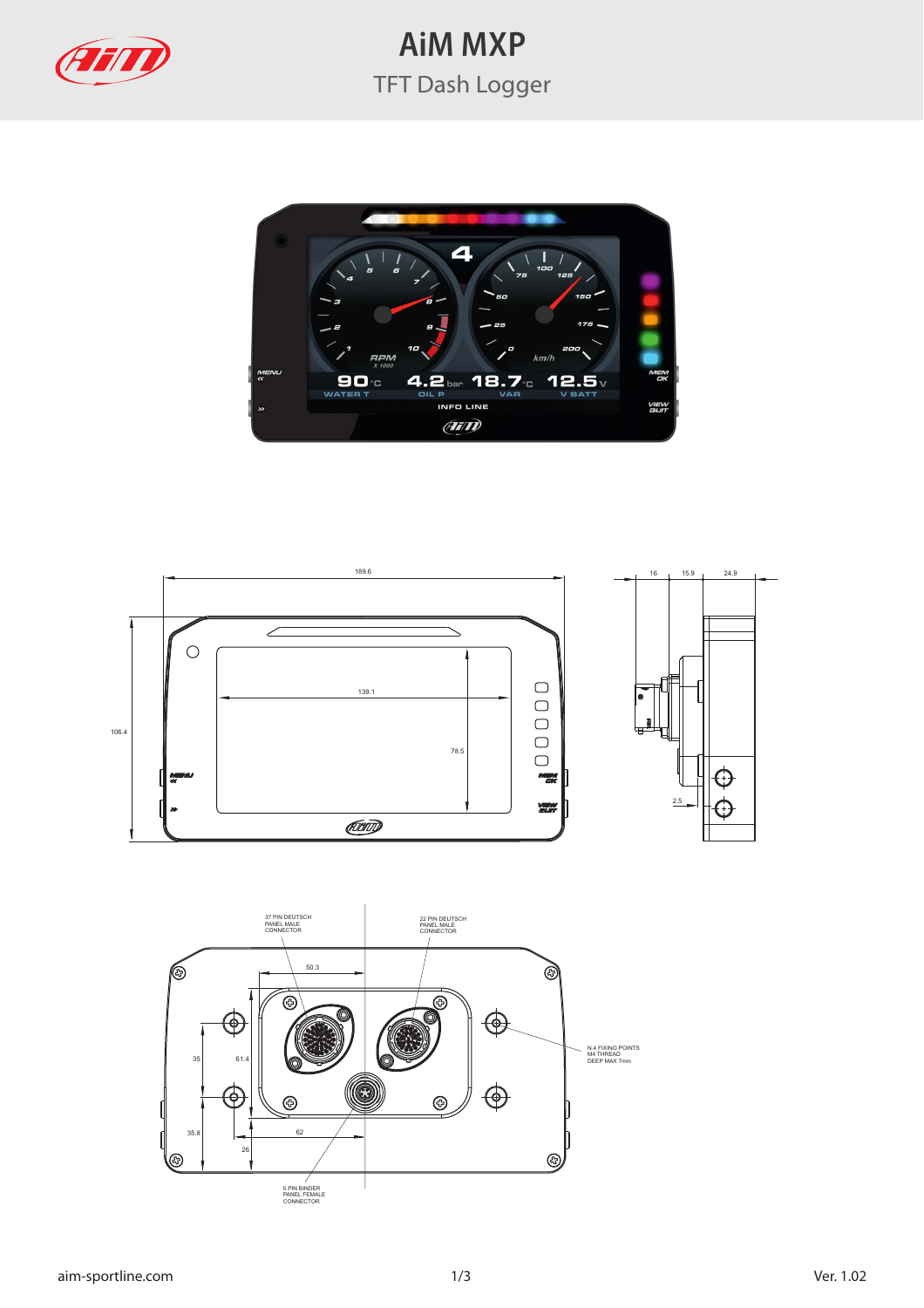

## **AiM MXP** TFT Dash Logger





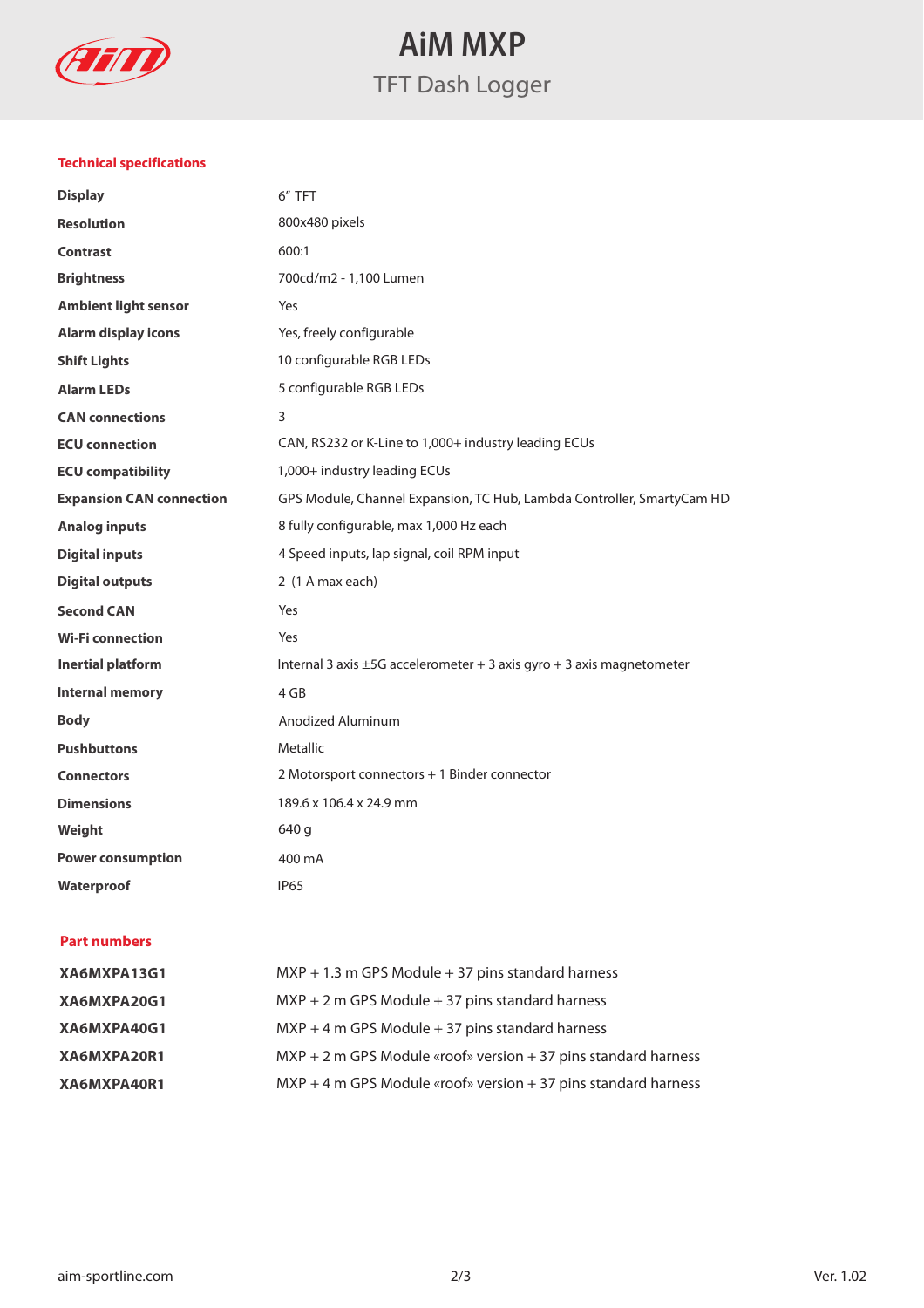

**AiM MXP** TFT Dash Logger

## **Technical specifications**

| <b>Display</b>                  | 6" TFT                                                                     |
|---------------------------------|----------------------------------------------------------------------------|
| <b>Resolution</b>               | 800x480 pixels                                                             |
| <b>Contrast</b>                 | 600:1                                                                      |
| <b>Brightness</b>               | 700cd/m2 - 1,100 Lumen                                                     |
| <b>Ambient light sensor</b>     | Yes                                                                        |
| <b>Alarm display icons</b>      | Yes, freely configurable                                                   |
| <b>Shift Lights</b>             | 10 configurable RGB LEDs                                                   |
| <b>Alarm LEDs</b>               | 5 configurable RGB LEDs                                                    |
| <b>CAN</b> connections          | 3                                                                          |
| <b>ECU</b> connection           | CAN, RS232 or K-Line to 1,000+ industry leading ECUs                       |
| <b>ECU compatibility</b>        | 1,000+ industry leading ECUs                                               |
| <b>Expansion CAN connection</b> | GPS Module, Channel Expansion, TC Hub, Lambda Controller, SmartyCam HD     |
| <b>Analog inputs</b>            | 8 fully configurable, max 1,000 Hz each                                    |
| <b>Digital inputs</b>           | 4 Speed inputs, lap signal, coil RPM input                                 |
| <b>Digital outputs</b>          | 2 (1 A max each)                                                           |
| <b>Second CAN</b>               | Yes                                                                        |
| <b>Wi-Fi connection</b>         | Yes                                                                        |
| <b>Inertial platform</b>        | Internal 3 axis $\pm$ 5G accelerometer + 3 axis gyro + 3 axis magnetometer |
| <b>Internal memory</b>          | 4 GB                                                                       |
| <b>Body</b>                     | Anodized Aluminum                                                          |
| <b>Pushbuttons</b>              | Metallic                                                                   |
| <b>Connectors</b>               | 2 Motorsport connectors + 1 Binder connector                               |
| <b>Dimensions</b>               | 189.6 x 106.4 x 24.9 mm                                                    |
| Weight                          | 640 g                                                                      |
| <b>Power consumption</b>        | 400 mA                                                                     |
| Waterproof                      | <b>IP65</b>                                                                |
|                                 |                                                                            |

## **Part numbers**

| XA6MXPA13G1 | $MXP + 1.3$ m GPS Module $+ 37$ pins standard harness             |
|-------------|-------------------------------------------------------------------|
| XA6MXPA20G1 | $MXP + 2$ m GPS Module $+ 37$ pins standard harness               |
| XA6MXPA40G1 | $MXP + 4$ m GPS Module $+ 37$ pins standard harness               |
| XA6MXPA20R1 | $MXP + 2$ m GPS Module «roof» version $+37$ pins standard harness |
| XA6MXPA40R1 | $MXP + 4$ m GPS Module «roof» version $+37$ pins standard harness |